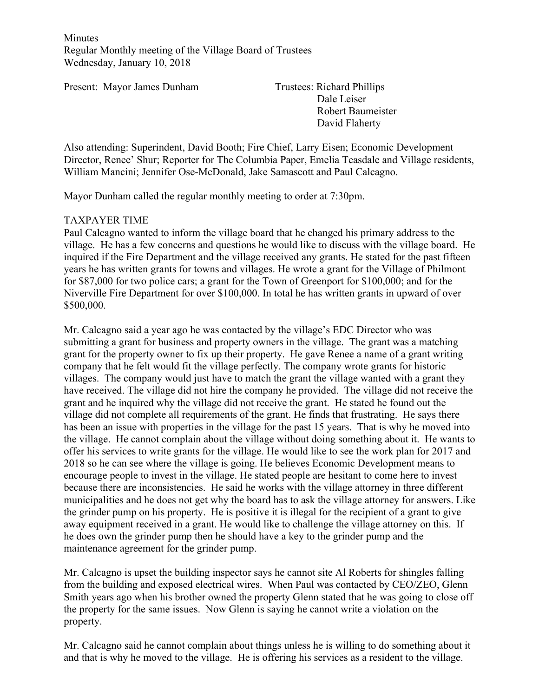**Minutes** Regular Monthly meeting of the Village Board of Trustees Wednesday, January 10, 2018

Present: Mayor James Dunham Trustees: Richard Phillips

Dale Leiser Robert Baumeister David Flaherty

Also attending: Superindent, David Booth; Fire Chief, Larry Eisen; Economic Development Director, Renee' Shur; Reporter for The Columbia Paper, Emelia Teasdale and Village residents, William Mancini; Jennifer Ose-McDonald, Jake Samascott and Paul Calcagno.

Mayor Dunham called the regular monthly meeting to order at 7:30pm.

#### TAXPAYER TIME

Paul Calcagno wanted to inform the village board that he changed his primary address to the village. He has a few concerns and questions he would like to discuss with the village board. He inquired if the Fire Department and the village received any grants. He stated for the past fifteen years he has written grants for towns and villages. He wrote a grant for the Village of Philmont for \$87,000 for two police cars; a grant for the Town of Greenport for \$100,000; and for the Niverville Fire Department for over \$100,000. In total he has written grants in upward of over \$500,000.

Mr. Calcagno said a year ago he was contacted by the village's EDC Director who was submitting a grant for business and property owners in the village. The grant was a matching grant for the property owner to fix up their property. He gave Renee a name of a grant writing company that he felt would fit the village perfectly. The company wrote grants for historic villages. The company would just have to match the grant the village wanted with a grant they have received. The village did not hire the company he provided. The village did not receive the grant and he inquired why the village did not receive the grant. He stated he found out the village did not complete all requirements of the grant. He finds that frustrating. He says there has been an issue with properties in the village for the past 15 years. That is why he moved into the village. He cannot complain about the village without doing something about it. He wants to offer his services to write grants for the village. He would like to see the work plan for 2017 and 2018 so he can see where the village is going. He believes Economic Development means to encourage people to invest in the village. He stated people are hesitant to come here to invest because there are inconsistencies. He said he works with the village attorney in three different municipalities and he does not get why the board has to ask the village attorney for answers. Like the grinder pump on his property. He is positive it is illegal for the recipient of a grant to give away equipment received in a grant. He would like to challenge the village attorney on this. If he does own the grinder pump then he should have a key to the grinder pump and the maintenance agreement for the grinder pump.

Mr. Calcagno is upset the building inspector says he cannot site Al Roberts for shingles falling from the building and exposed electrical wires. When Paul was contacted by CEO/ZEO, Glenn Smith years ago when his brother owned the property Glenn stated that he was going to close off the property for the same issues. Now Glenn is saying he cannot write a violation on the property.

Mr. Calcagno said he cannot complain about things unless he is willing to do something about it and that is why he moved to the village. He is offering his services as a resident to the village.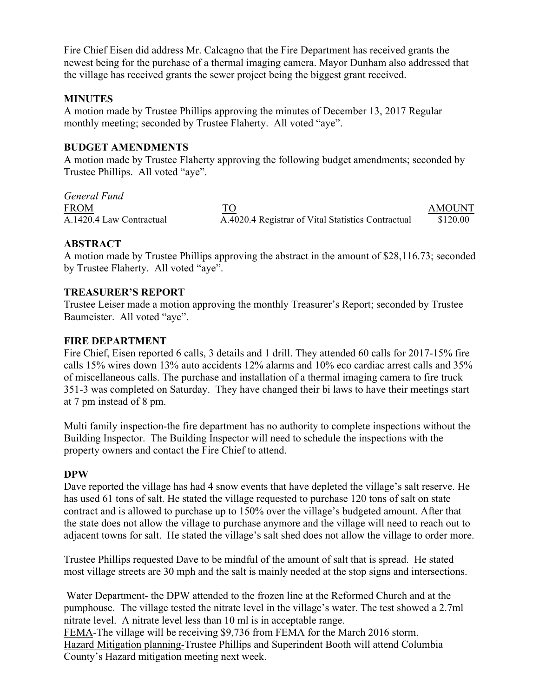Fire Chief Eisen did address Mr. Calcagno that the Fire Department has received grants the newest being for the purchase of a thermal imaging camera. Mayor Dunham also addressed that the village has received grants the sewer project being the biggest grant received.

## **MINUTES**

A motion made by Trustee Phillips approving the minutes of December 13, 2017 Regular monthly meeting; seconded by Trustee Flaherty. All voted "aye".

#### **BUDGET AMENDMENTS**

A motion made by Trustee Flaherty approving the following budget amendments; seconded by Trustee Phillips. All voted "aye".

*General Fund* FROM TO TO AMOUNT A.1420.4 Law Contractual A.4020.4 Registrar of Vital Statistics Contractual \$120.00

#### **ABSTRACT**

A motion made by Trustee Phillips approving the abstract in the amount of \$28,116.73; seconded by Trustee Flaherty. All voted "aye".

#### **TREASURER'S REPORT**

Trustee Leiser made a motion approving the monthly Treasurer's Report; seconded by Trustee Baumeister. All voted "aye".

#### **FIRE DEPARTMENT**

Fire Chief, Eisen reported 6 calls, 3 details and 1 drill. They attended 60 calls for 2017-15% fire calls 15% wires down 13% auto accidents 12% alarms and 10% eco cardiac arrest calls and 35% of miscellaneous calls. The purchase and installation of a thermal imaging camera to fire truck 351-3 was completed on Saturday. They have changed their bi laws to have their meetings start at 7 pm instead of 8 pm.

Multi family inspection-the fire department has no authority to complete inspections without the Building Inspector. The Building Inspector will need to schedule the inspections with the property owners and contact the Fire Chief to attend.

#### **DPW**

Dave reported the village has had 4 snow events that have depleted the village's salt reserve. He has used 61 tons of salt. He stated the village requested to purchase 120 tons of salt on state contract and is allowed to purchase up to 150% over the village's budgeted amount. After that the state does not allow the village to purchase anymore and the village will need to reach out to adjacent towns for salt. He stated the village's salt shed does not allow the village to order more.

Trustee Phillips requested Dave to be mindful of the amount of salt that is spread. He stated most village streets are 30 mph and the salt is mainly needed at the stop signs and intersections.

Water Department- the DPW attended to the frozen line at the Reformed Church and at the pumphouse. The village tested the nitrate level in the village's water. The test showed a 2.7ml nitrate level. A nitrate level less than 10 ml is in acceptable range. FEMA-The village will be receiving \$9,736 from FEMA for the March 2016 storm. Hazard Mitigation planning-Trustee Phillips and Superindent Booth will attend Columbia

County's Hazard mitigation meeting next week.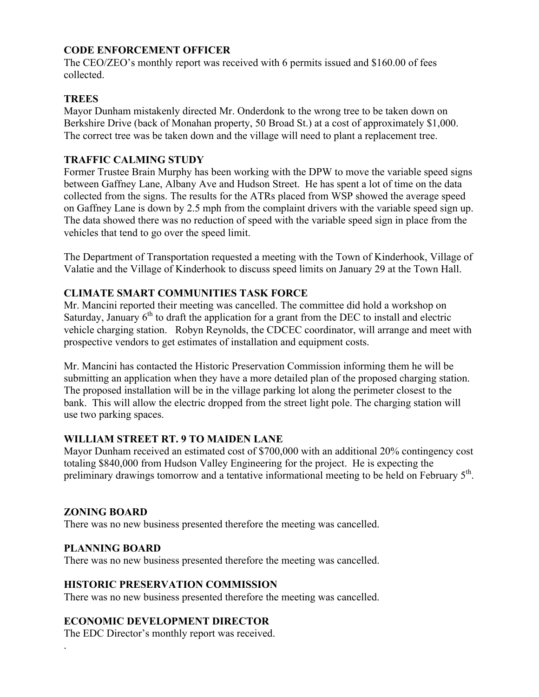## **CODE ENFORCEMENT OFFICER**

The CEO/ZEO's monthly report was received with 6 permits issued and \$160.00 of fees collected.

# **TREES**

Mayor Dunham mistakenly directed Mr. Onderdonk to the wrong tree to be taken down on Berkshire Drive (back of Monahan property, 50 Broad St.) at a cost of approximately \$1,000. The correct tree was be taken down and the village will need to plant a replacement tree.

# **TRAFFIC CALMING STUDY**

Former Trustee Brain Murphy has been working with the DPW to move the variable speed signs between Gaffney Lane, Albany Ave and Hudson Street. He has spent a lot of time on the data collected from the signs. The results for the ATRs placed from WSP showed the average speed on Gaffney Lane is down by 2.5 mph from the complaint drivers with the variable speed sign up. The data showed there was no reduction of speed with the variable speed sign in place from the vehicles that tend to go over the speed limit.

The Department of Transportation requested a meeting with the Town of Kinderhook, Village of Valatie and the Village of Kinderhook to discuss speed limits on January 29 at the Town Hall.

# **CLIMATE SMART COMMUNITIES TASK FORCE**

Mr. Mancini reported their meeting was cancelled. The committee did hold a workshop on Saturday, January  $6<sup>th</sup>$  to draft the application for a grant from the DEC to install and electric vehicle charging station. Robyn Reynolds, the CDCEC coordinator, will arrange and meet with prospective vendors to get estimates of installation and equipment costs.

Mr. Mancini has contacted the Historic Preservation Commission informing them he will be submitting an application when they have a more detailed plan of the proposed charging station. The proposed installation will be in the village parking lot along the perimeter closest to the bank. This will allow the electric dropped from the street light pole. The charging station will use two parking spaces.

## **WILLIAM STREET RT. 9 TO MAIDEN LANE**

Mayor Dunham received an estimated cost of \$700,000 with an additional 20% contingency cost totaling \$840,000 from Hudson Valley Engineering for the project. He is expecting the preliminary drawings tomorrow and a tentative informational meeting to be held on February 5<sup>th</sup>.

## **ZONING BOARD**

There was no new business presented therefore the meeting was cancelled.

## **PLANNING BOARD**

.

There was no new business presented therefore the meeting was cancelled.

## **HISTORIC PRESERVATION COMMISSION**

There was no new business presented therefore the meeting was cancelled.

## **ECONOMIC DEVELOPMENT DIRECTOR**

The EDC Director's monthly report was received.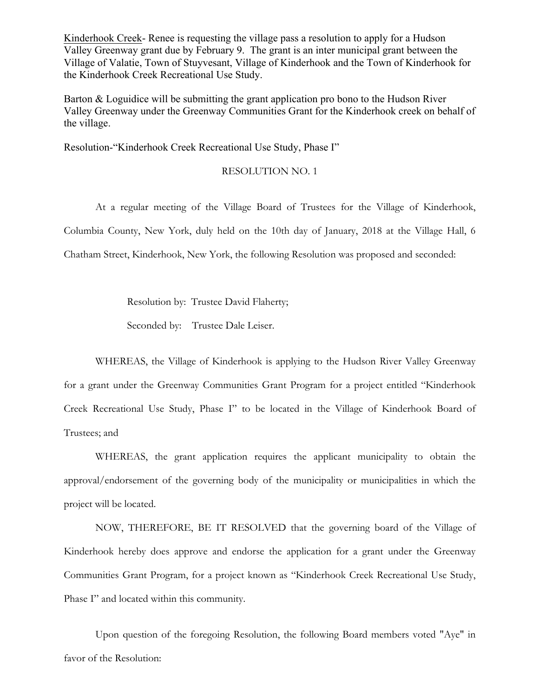Kinderhook Creek- Renee is requesting the village pass a resolution to apply for a Hudson Valley Greenway grant due by February 9. The grant is an inter municipal grant between the Village of Valatie, Town of Stuyvesant, Village of Kinderhook and the Town of Kinderhook for the Kinderhook Creek Recreational Use Study.

Barton & Loguidice will be submitting the grant application pro bono to the Hudson River Valley Greenway under the Greenway Communities Grant for the Kinderhook creek on behalf of the village.

Resolution-"Kinderhook Creek Recreational Use Study, Phase I"

RESOLUTION NO. 1

At a regular meeting of the Village Board of Trustees for the Village of Kinderhook, Columbia County, New York, duly held on the 10th day of January, 2018 at the Village Hall, 6 Chatham Street, Kinderhook, New York, the following Resolution was proposed and seconded:

Resolution by: Trustee David Flaherty;

Seconded by: Trustee Dale Leiser.

WHEREAS, the Village of Kinderhook is applying to the Hudson River Valley Greenway for a grant under the Greenway Communities Grant Program for a project entitled "Kinderhook Creek Recreational Use Study, Phase I" to be located in the Village of Kinderhook Board of Trustees; and

WHEREAS, the grant application requires the applicant municipality to obtain the approval/endorsement of the governing body of the municipality or municipalities in which the project will be located.

NOW, THEREFORE, BE IT RESOLVED that the governing board of the Village of Kinderhook hereby does approve and endorse the application for a grant under the Greenway Communities Grant Program, for a project known as "Kinderhook Creek Recreational Use Study, Phase I" and located within this community.

Upon question of the foregoing Resolution, the following Board members voted "Aye" in favor of the Resolution: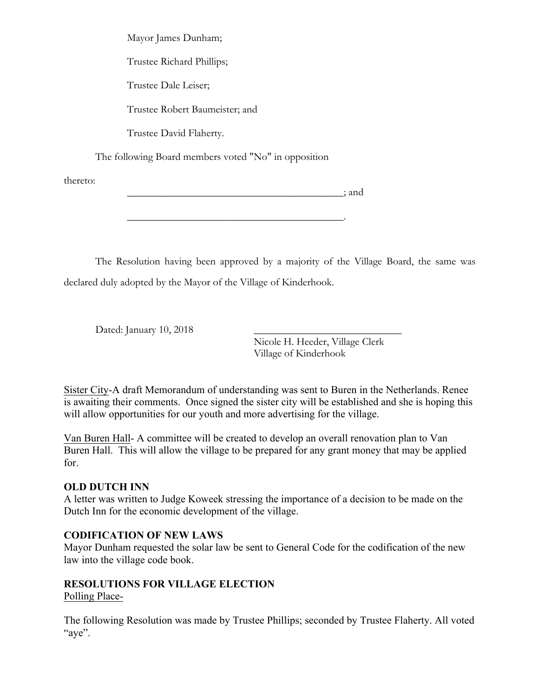Mayor James Dunham;

Trustee Richard Phillips;

Trustee Dale Leiser;

Trustee Robert Baumeister; and

Trustee David Flaherty.

The following Board members voted "No" in opposition

thereto:

 $:$  and

The Resolution having been approved by a majority of the Village Board, the same was declared duly adopted by the Mayor of the Village of Kinderhook.

 $\mathcal{L}_\text{max}$  and  $\mathcal{L}_\text{max}$  and  $\mathcal{L}_\text{max}$  and  $\mathcal{L}_\text{max}$  and  $\mathcal{L}_\text{max}$ 

Dated: January 10, 2018

Nicole H. Heeder, Village Clerk Village of Kinderhook

Sister City-A draft Memorandum of understanding was sent to Buren in the Netherlands. Renee is awaiting their comments. Once signed the sister city will be established and she is hoping this will allow opportunities for our youth and more advertising for the village.

Van Buren Hall- A committee will be created to develop an overall renovation plan to Van Buren Hall. This will allow the village to be prepared for any grant money that may be applied for.

# **OLD DUTCH INN**

A letter was written to Judge Koweek stressing the importance of a decision to be made on the Dutch Inn for the economic development of the village.

# **CODIFICATION OF NEW LAWS**

Mayor Dunham requested the solar law be sent to General Code for the codification of the new law into the village code book.

# **RESOLUTIONS FOR VILLAGE ELECTION**

# Polling Place-

The following Resolution was made by Trustee Phillips; seconded by Trustee Flaherty. All voted "aye".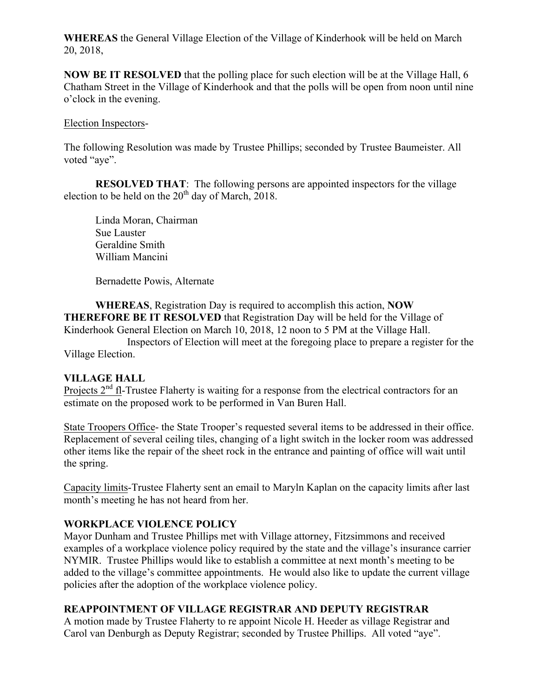**WHEREAS** the General Village Election of the Village of Kinderhook will be held on March 20, 2018,

**NOW BE IT RESOLVED** that the polling place for such election will be at the Village Hall, 6 Chatham Street in the Village of Kinderhook and that the polls will be open from noon until nine o'clock in the evening.

#### Election Inspectors-

The following Resolution was made by Trustee Phillips; seconded by Trustee Baumeister. All voted "aye".

**RESOLVED THAT**: The following persons are appointed inspectors for the village election to be held on the  $20<sup>th</sup>$  day of March, 2018.

Linda Moran, Chairman Sue Lauster Geraldine Smith William Mancini

Bernadette Powis, Alternate

**WHEREAS**, Registration Day is required to accomplish this action, **NOW THEREFORE BE IT RESOLVED** that Registration Day will be held for the Village of Kinderhook General Election on March 10, 2018, 12 noon to 5 PM at the Village Hall.

Inspectors of Election will meet at the foregoing place to prepare a register for the Village Election.

## **VILLAGE HALL**

Projects  $2<sup>nd</sup>$  fl-Trustee Flaherty is waiting for a response from the electrical contractors for an estimate on the proposed work to be performed in Van Buren Hall.

State Troopers Office- the State Trooper's requested several items to be addressed in their office. Replacement of several ceiling tiles, changing of a light switch in the locker room was addressed other items like the repair of the sheet rock in the entrance and painting of office will wait until the spring.

Capacity limits-Trustee Flaherty sent an email to Maryln Kaplan on the capacity limits after last month's meeting he has not heard from her.

## **WORKPLACE VIOLENCE POLICY**

Mayor Dunham and Trustee Phillips met with Village attorney, Fitzsimmons and received examples of a workplace violence policy required by the state and the village's insurance carrier NYMIR. Trustee Phillips would like to establish a committee at next month's meeting to be added to the village's committee appointments. He would also like to update the current village policies after the adoption of the workplace violence policy.

## **REAPPOINTMENT OF VILLAGE REGISTRAR AND DEPUTY REGISTRAR**

A motion made by Trustee Flaherty to re appoint Nicole H. Heeder as village Registrar and Carol van Denburgh as Deputy Registrar; seconded by Trustee Phillips. All voted "aye".